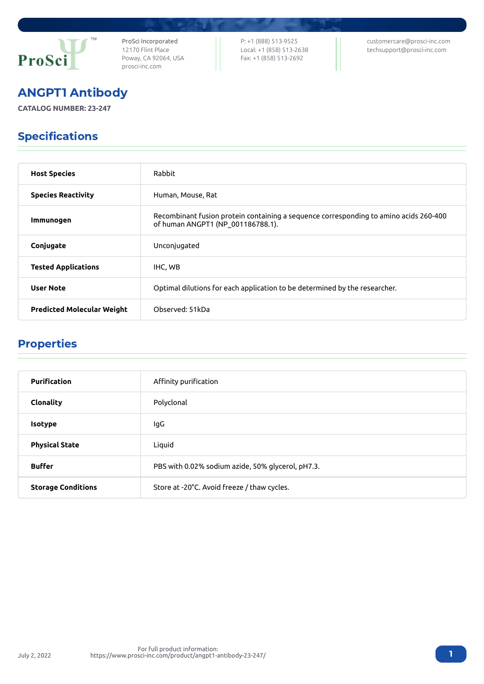

ProSci Incorporated 12170 Flint Place Poway, CA 92064, USA [prosci-inc.com](https://prosci-inc.com/)

P: +1 (888) 513-9525 Local: +1 (858) 513-2638 Fax: +1 (858) 513-2692

[customercare@prosci-inc.com](mailto:customercare@prosci-inc.com) [techsupport@prosci-inc.com](mailto:techsupport@prosci-inc.com)

# ANGPT1 Antibody

**CATALOG NUMBER: 23-247**

# Specifications

| <b>Host Species</b>               | Rabbit                                                                                                                     |
|-----------------------------------|----------------------------------------------------------------------------------------------------------------------------|
| <b>Species Reactivity</b>         | Human, Mouse, Rat                                                                                                          |
| Immunogen                         | Recombinant fusion protein containing a sequence corresponding to amino acids 260-400<br>of human ANGPT1 (NP_001186788.1). |
| Conjugate                         | Unconjugated                                                                                                               |
| <b>Tested Applications</b>        | IHC, WB                                                                                                                    |
| <b>User Note</b>                  | Optimal dilutions for each application to be determined by the researcher.                                                 |
| <b>Predicted Molecular Weight</b> | Observed: 51kDa                                                                                                            |

## Properties

| <b>Purification</b>       | Affinity purification                             |
|---------------------------|---------------------------------------------------|
| Clonality                 | Polyclonal                                        |
| <b>Isotype</b>            | lgG                                               |
| <b>Physical State</b>     | Liquid                                            |
| <b>Buffer</b>             | PBS with 0.02% sodium azide, 50% glycerol, pH7.3. |
| <b>Storage Conditions</b> | Store at -20°C. Avoid freeze / thaw cycles.       |